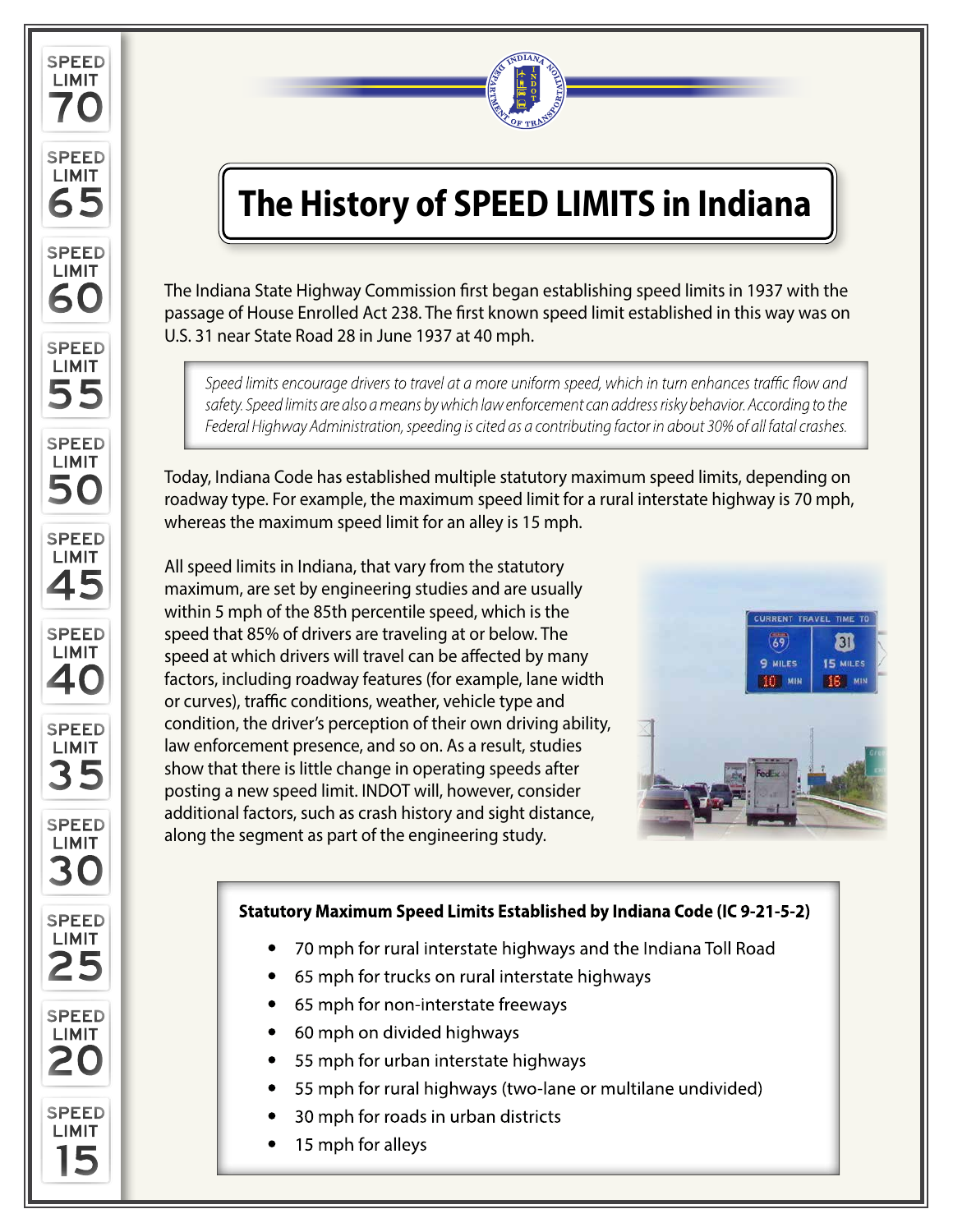



# **The History of SPEED LIMITS in Indiana**

The Indiana State Highway Commission first began establishing speed limits in 1937 with the passage of House Enrolled Act 238. The first known speed limit established in this way was on U.S. 31 near State Road 28 in June 1937 at 40 mph.

Speed limits encourage drivers to travel at a more uniform speed, which in turn enhances traffic flow and safety. Speed limits are also a means by which law enforcement can address risky behavior. According to the Federal Highway Administration, speeding is cited as a contributing factor in about 30% of all fatal crashes.

Today, Indiana Code has established multiple statutory maximum speed limits, depending on roadway type. For example, the maximum speed limit for a rural interstate highway is 70 mph, whereas the maximum speed limit for an alley is 15 mph.

All speed limits in Indiana, that vary from the statutory maximum, are set by engineering studies and are usually within 5 mph of the 85th percentile speed, which is the speed that 85% of drivers are traveling at or below. The speed at which drivers will travel can be affected by many factors, including roadway features (for example, lane width or curves), traffic conditions, weather, vehicle type and condition, the driver's perception of their own driving ability, law enforcement presence, and so on. As a result, studies show that there is little change in operating speeds after posting a new speed limit. INDOT will, however, consider additional factors, such as crash history and sight distance, along the segment as part of the engineering study.



#### Statutory Maximum Speed Limits Established by Indiana Code (IC 9-21-5-2)

- 70 mph for rural interstate highways and the Indiana Toll Road
- 65 mph for trucks on rural interstate highways
- 65 mph for non-interstate freeways
- 60 mph on divided highways
- 55 mph for urban interstate highways
- 55 mph for rural highways (two-lane or multilane undivided)
- 30 mph for roads in urban districts
- 15 mph for alleys